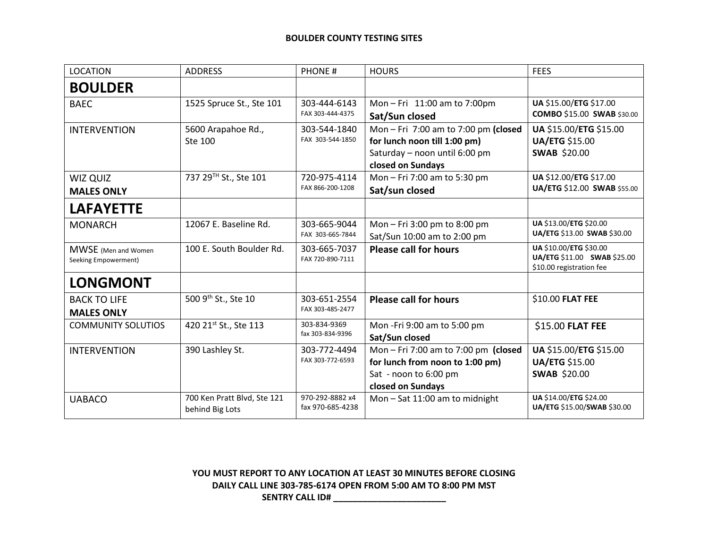## **BOULDER COUNTY TESTING SITES**

| <b>LOCATION</b>                                     | <b>ADDRESS</b>                                 | <b>PHONE#</b>                       | <b>HOURS</b>                                                                                                             | <b>FEES</b>                                                                       |
|-----------------------------------------------------|------------------------------------------------|-------------------------------------|--------------------------------------------------------------------------------------------------------------------------|-----------------------------------------------------------------------------------|
| <b>BOULDER</b>                                      |                                                |                                     |                                                                                                                          |                                                                                   |
| <b>BAEC</b>                                         | 1525 Spruce St., Ste 101                       | 303-444-6143<br>FAX 303-444-4375    | Mon - Fri 11:00 am to 7:00pm<br>Sat/Sun closed                                                                           | UA \$15.00/ETG \$17.00<br><b>COMBO \$15.00 SWAB \$30.00</b>                       |
| <b>INTERVENTION</b>                                 | 5600 Arapahoe Rd.,<br>Ste 100                  | 303-544-1840<br>FAX 303-544-1850    | Mon-Fri 7:00 am to 7:00 pm (closed<br>for lunch noon till 1:00 pm)<br>Saturday - noon until 6:00 pm<br>closed on Sundays | UA \$15.00/ETG \$15.00<br><b>UA/ETG \$15.00</b><br><b>SWAB \$20.00</b>            |
| WIZ QUIZ<br><b>MALES ONLY</b>                       | 737 29TH St., Ste 101                          | 720-975-4114<br>FAX 866-200-1208    | Mon - Fri 7:00 am to 5:30 pm<br>Sat/sun closed                                                                           | UA \$12.00/ETG \$17.00<br>UA/ETG \$12.00 SWAB \$55.00                             |
| <b>LAFAYETTE</b>                                    |                                                |                                     |                                                                                                                          |                                                                                   |
| <b>MONARCH</b>                                      | 12067 E. Baseline Rd.                          | 303-665-9044<br>FAX 303-665-7844    | Mon - Fri 3:00 pm to 8:00 pm<br>Sat/Sun 10:00 am to 2:00 pm                                                              | UA \$13.00/ETG \$20.00<br>UA/ETG \$13.00 SWAB \$30.00                             |
| <b>MWSE</b> (Men and Women)<br>Seeking Empowerment) | 100 E. South Boulder Rd.                       | 303-665-7037<br>FAX 720-890-7111    | <b>Please call for hours</b>                                                                                             | UA \$10.00/ETG \$30.00<br>UA/ETG \$11.00 SWAB \$25.00<br>\$10.00 registration fee |
| <b>LONGMONT</b>                                     |                                                |                                     |                                                                                                                          |                                                                                   |
| <b>BACK TO LIFE</b><br><b>MALES ONLY</b>            | 500 9th St., Ste 10                            | 303-651-2554<br>FAX 303-485-2477    | <b>Please call for hours</b>                                                                                             | \$10.00 FLAT FEE                                                                  |
| <b>COMMUNITY SOLUTIOS</b>                           | 420 21st St., Ste 113                          | 303-834-9369<br>fax 303-834-9396    | Mon-Fri 9:00 am to 5:00 pm<br>Sat/Sun closed                                                                             | \$15.00 FLAT FEE                                                                  |
| <b>INTERVENTION</b>                                 | 390 Lashley St.                                | 303-772-4494<br>FAX 303-772-6593    | Mon - Fri 7:00 am to 7:00 pm (closed<br>for lunch from noon to 1:00 pm)<br>Sat - noon to 6:00 pm<br>closed on Sundays    | UA \$15.00/ETG \$15.00<br><b>UA/ETG \$15.00</b><br><b>SWAB \$20.00</b>            |
| <b>UABACO</b>                                       | 700 Ken Pratt Blvd, Ste 121<br>behind Big Lots | 970-292-8882 x4<br>fax 970-685-4238 | Mon - Sat 11:00 am to midnight                                                                                           | UA \$14.00/ETG \$24.00<br>UA/ETG \$15.00/SWAB \$30.00                             |

**YOU MUST REPORT TO ANY LOCATION AT LEAST 30 MINUTES BEFORE CLOSING DAILY CALL LINE 303-785-6174 OPEN FROM 5:00 AM TO 8:00 PM MST SENTRY CALL ID# \_\_\_\_\_\_\_\_\_\_\_\_\_\_\_\_\_\_\_\_\_\_\_**